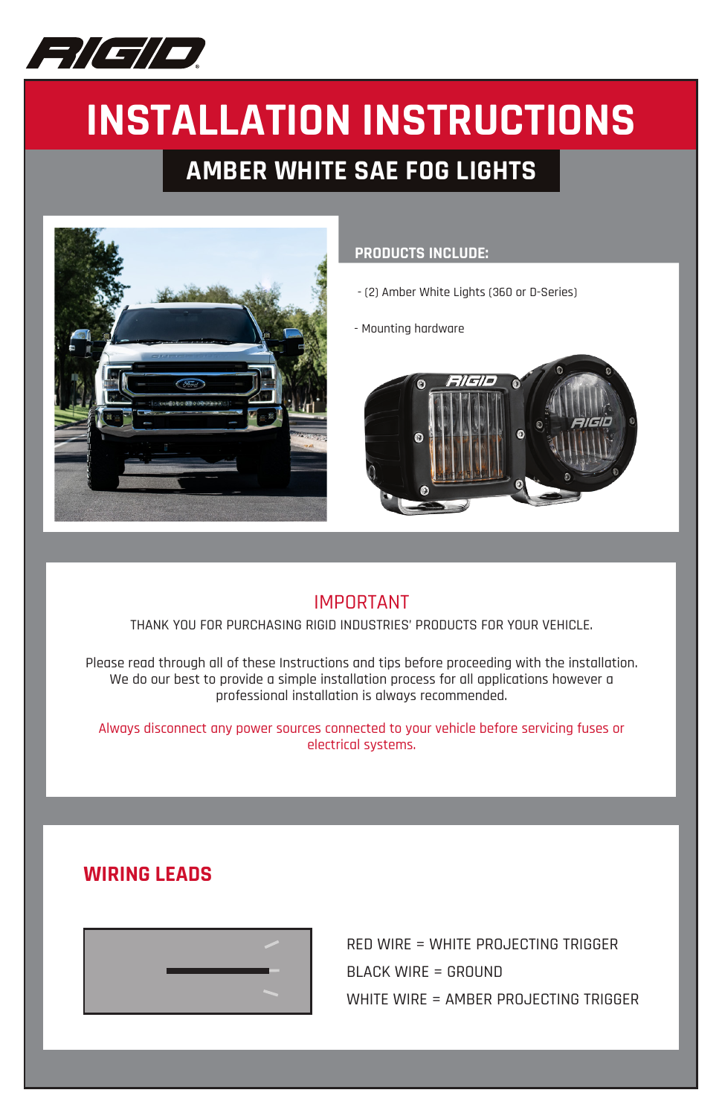

# **INSTALLATION INSTRUCTIONS**

# **AMBER WHITE SAE FOG LIGHTS**



### **PRODUCTS INCLUDE:**

- (2) Amber White Lights (360 or D-Series)

- Mounting hardware



## IMPORTANT

THANK YOU FOR PURCHASING RIGID INDUSTRIES' PRODUCTS FOR YOUR VEHICLE.

Please read through all of these Instructions and tips before proceeding with the installation. We do our best to provide a simple installation process for all applications however a professional installation is always recommended.

Always disconnect any power sources connected to your vehicle before servicing fuses or electrical systems.

## **WIRING LEADS**



RED WIRE = WHITE PROJECTING TRIGGER BLACK WIRE = GROUND WHITE WIRE = AMBER PROJECTING TRIGGER